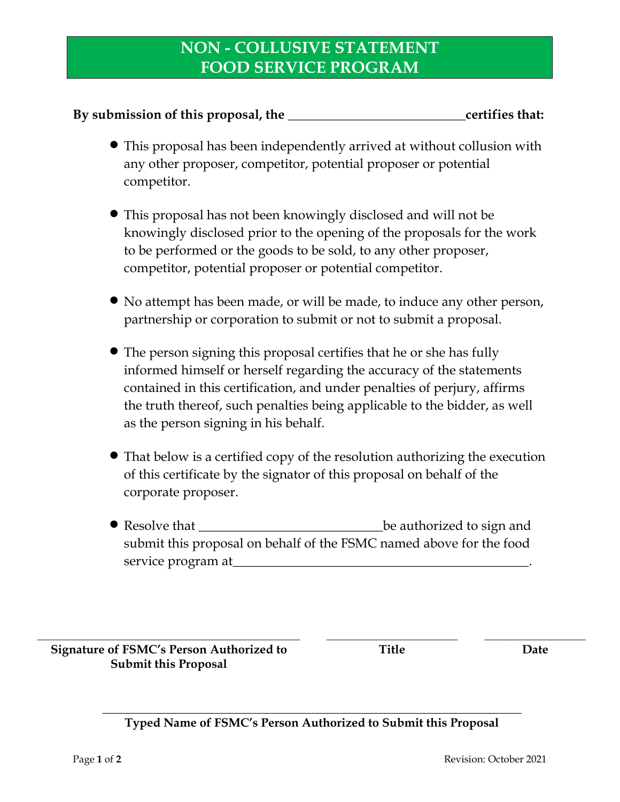## **NON - COLLUSIVE STATEMENT FOOD SERVICE PROGRAM**

## **By submission of this proposal, the \_\_\_\_\_\_\_\_\_\_\_\_\_\_\_\_\_\_\_\_\_\_\_\_\_\_\_certifies that:**

- This proposal has been independently arrived at without collusion with any other proposer, competitor, potential proposer or potential competitor.
- This proposal has not been knowingly disclosed and will not be knowingly disclosed prior to the opening of the proposals for the work to be performed or the goods to be sold, to any other proposer, competitor, potential proposer or potential competitor.
- No attempt has been made, or will be made, to induce any other person, partnership or corporation to submit or not to submit a proposal.
- The person signing this proposal certifies that he or she has fully informed himself or herself regarding the accuracy of the statements contained in this certification, and under penalties of perjury, affirms the truth thereof, such penalties being applicable to the bidder, as well as the person signing in his behalf.
- That below is a certified copy of the resolution authorizing the execution of this certificate by the signator of this proposal on behalf of the corporate proposer.
- Resolve that \_\_\_\_\_\_\_\_\_\_\_\_\_\_\_\_\_\_\_\_\_\_\_\_\_\_\_\_be authorized to sign and submit this proposal on behalf of the FSMC named above for the food service program at

**\_\_\_\_\_\_\_\_\_\_\_\_\_\_\_\_\_\_\_\_\_\_\_\_\_\_\_\_\_\_\_\_\_\_\_\_\_\_\_\_\_\_\_\_\_\_\_\_\_\_\_\_ \_\_\_\_\_\_\_\_\_\_\_\_\_\_\_\_\_\_\_\_\_\_\_\_\_\_ \_\_\_\_\_\_\_\_\_\_\_\_\_\_\_\_\_\_\_\_ Signature of FSMC's Person Authorized to Submit this Proposal**

**Title Date**

## **\_\_\_\_\_\_\_\_\_\_\_\_\_\_\_\_\_\_\_\_\_\_\_\_\_\_\_\_\_\_\_\_\_\_\_\_\_\_\_\_\_\_\_\_\_\_\_\_\_\_\_\_\_\_\_\_\_\_\_\_\_\_\_\_\_\_\_\_\_ Typed Name of FSMC's Person Authorized to Submit this Proposal**